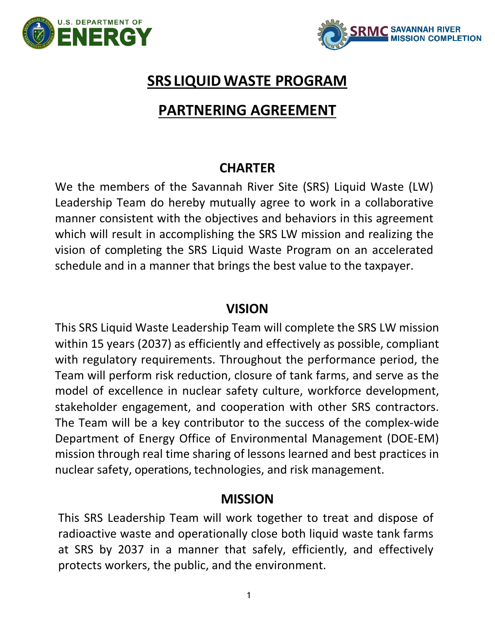



## **SRS LIQUIDWASTE PROGRAM**

# **PARTNERING AGREEMENT**

### **CHARTER**

We the members of the Savannah River Site (SRS) Liquid Waste (LW) Leadership Team do hereby mutually agree to work in a collaborative manner consistent with the objectives and behaviors in this agreement which will result in accomplishing the SRS LW mission and realizing the vision of completing the SRS Liquid Waste Program on an accelerated schedule and in a manner that brings the best value to the taxpayer.

### **VISION**

This SRS Liquid Waste Leadership Team will complete the SRS LW mission within 15 years (2037) as efficiently and effectively as possible, compliant with regulatory requirements. Throughout the performance period, the Team will perform risk reduction, closure of tank farms, and serve as the model of excellence in nuclear safety culture, workforce development, stakeholder engagement, and cooperation with other SRS contractors. The Team will be a key contributor to the success of the complex-wide Department of Energy Office of Environmental Management (DOE-EM) mission through real time sharing of lessons learned and best practices in nuclear safety, operations, technologies, and risk management.

### **MISSION**

This SRS Leadership Team will work together to treat and dispose of radioactive waste and operationally close both liquid waste tank farms at SRS by 2037 in a manner that safely, efficiently, and effectively protects workers, the public, and the environment.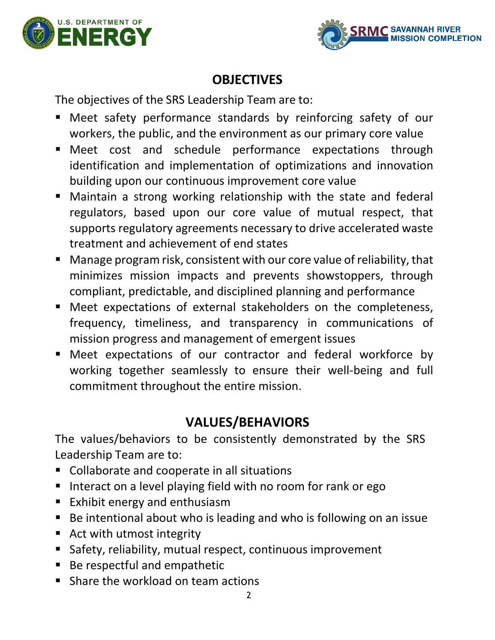



### **OBJECTIVES**

The objectives of the SRS Leadership Team are to:

- Meet safety performance standards by reinforcing safety of our workers, the public, and the environment as our primary core value
- Meet cost and schedule performance expectations through identification and implementation of optimizations and innovation building upon our continuous improvement core value
- Maintain a strong working relationship with the state and federal regulators, based upon our core value of mutual respect, that supports regulatory agreements necessary to drive accelerated waste treatment and achievement of end states
- Manage program risk, consistent with our core value of reliability, that minimizes mission impacts and prevents showstoppers, through compliant, predictable, and disciplined planning and performance
- Meet expectations of external stakeholders on the completeness, frequency, timeliness, and transparency in communications of mission progress and management of emergent issues
- Meet expectations of our contractor and federal workforce by working together seamlessly to ensure their well-being and full commitment throughout the entire mission.

# **VALUES/BEHAVIORS**

The values/behaviors to be consistently demonstrated by the SRS Leadership Team are to:

- Collaborate and cooperate in all situations
- Interact on a level playing field with no room for rank or ego
- Exhibit energy and enthusiasm
- Be intentional about who is leading and who is following on an issue
- Act with utmost integrity
- Safety, reliability, mutual respect, continuous improvement
- Be respectful and empathetic
- Share the workload on team actions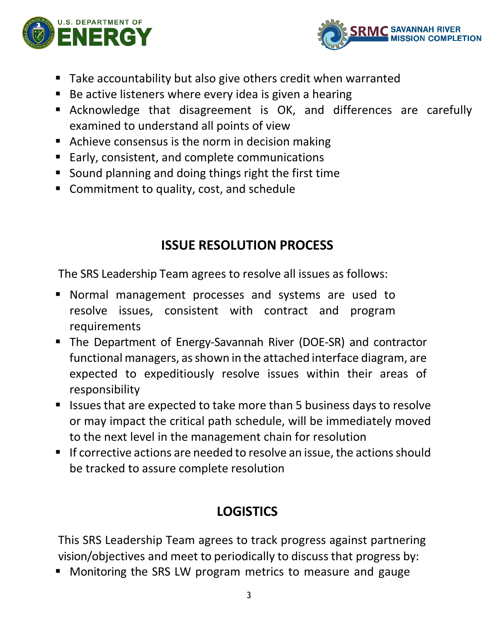



- Take accountability but also give others credit when warranted
- Be active listeners where every idea is given a hearing
- Acknowledge that disagreement is OK, and differences are carefully examined to understand all points of view
- Achieve consensus is the norm in decision making
- Early, consistent, and complete communications
- Sound planning and doing things right the first time
- Commitment to quality, cost, and schedule

## **ISSUE RESOLUTION PROCESS**

The SRS Leadership Team agrees to resolve all issues as follows:

- Normal management processes and systems are used to resolve issues, consistent with contract and program requirements
- The Department of Energy-Savannah River (DOE-SR) and contractor functional managers, as shown in the attached interface diagram, are expected to expeditiously resolve issues within their areas of responsibility
- Issues that are expected to take more than 5 business days to resolve or may impact the critical path schedule, will be immediately moved to the next level in the management chain for resolution
- If corrective actions are needed to resolve an issue, the actions should be tracked to assure complete resolution

# **LOGISTICS**

This SRS Leadership Team agrees to track progress against partnering vision/objectives and meet to periodically to discuss that progress by:

**• Monitoring the SRS LW program metrics to measure and gauge**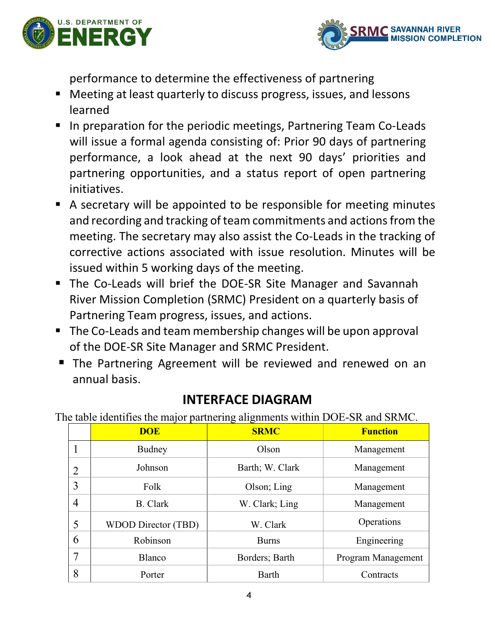



performance to determine the effectiveness of partnering

- Meeting at least quarterly to discuss progress, issues, and lessons learned
- In preparation for the periodic meetings, Partnering Team Co-Leads will issue a formal agenda consisting of: Prior 90 days of partnering performance, a look ahead at the next 90 days' priorities and partnering opportunities, and a status report of open partnering initiatives.
- A secretary will be appointed to be responsible for meeting minutes and recording and tracking of team commitments and actions from the meeting. The secretary may also assist the Co-Leads in the tracking of corrective actions associated with issue resolution. Minutes will be issued within 5 working days of the meeting.
- The Co-Leads will brief the DOE-SR Site Manager and Savannah River Mission Completion (SRMC) President on a quarterly basis of Partnering Team progress, issues, and actions.
- The Co-Leads and team membership changes will be upon approval of the DOE-SR Site Manager and SRMC President.
- **The Partnering Agreement will be reviewed and renewed on an** annual basis.

### **INTERFACE DIAGRAM**

The table identifies the major partnering alignments within DOE-SR and SRMC.

|   | <b>DOE</b>                 | <b>SRMC</b>     | <b>Function</b>    |
|---|----------------------------|-----------------|--------------------|
|   | Budney                     | Olson           | Management         |
| 2 | Johnson                    | Barth; W. Clark | Management         |
| 3 | Folk                       | Olson; Ling     | Management         |
| 4 | <b>B.</b> Clark            | W. Clark; Ling  | Management         |
| 5 | <b>WDOD Director (TBD)</b> | W. Clark        | Operations         |
| 6 | Robinson                   | <b>Burns</b>    | Engineering        |
| 7 | Blanco                     | Borders; Barth  | Program Management |
| 8 | Porter                     | Barth           | Contracts          |